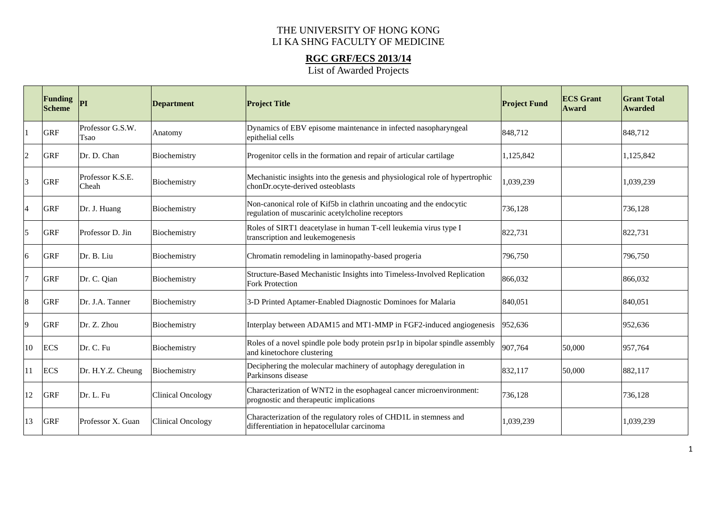## THE UNIVERSITY OF HONG KONG LI KA SHNG FACULTY OF MEDICINE

**RGC GRF/ECS 2013/14**  List of Awarded Projects

|                | Funding<br><b>Scheme</b> | PI                        | <b>Department</b>        | <b>Project Title</b>                                                                                                    | <b>Project Fund</b> | <b>ECS</b> Grant<br><b>Award</b> | <b>Grant Total</b><br><b>Awarded</b> |
|----------------|--------------------------|---------------------------|--------------------------|-------------------------------------------------------------------------------------------------------------------------|---------------------|----------------------------------|--------------------------------------|
|                | <b>GRF</b>               | Professor G.S.W.<br>Tsao  | Anatomy                  | Dynamics of EBV episome maintenance in infected nasopharyngeal<br>epithelial cells                                      | 848,712             |                                  | 848,712                              |
| $\overline{2}$ | <b>GRF</b>               | Dr. D. Chan               | Biochemistry             | Progenitor cells in the formation and repair of articular cartilage                                                     | 1,125,842           |                                  | 1,125,842                            |
| 3              | <b>GRF</b>               | Professor K.S.E.<br>Cheah | Biochemistry             | Mechanistic insights into the genesis and physiological role of hypertrophic<br>chonDr.ocyte-derived osteoblasts        | 1,039,239           |                                  | 1,039,239                            |
| $\overline{4}$ | <b>GRF</b>               | Dr. J. Huang              | Biochemistry             | Non-canonical role of Kif5b in clathrin uncoating and the endocytic<br>regulation of muscarinic acetylcholine receptors | 736,128             |                                  | 736,128                              |
| 5              | <b>GRF</b>               | Professor D. Jin          | Biochemistry             | Roles of SIRT1 deacetylase in human T-cell leukemia virus type I<br>transcription and leukemogenesis                    | 822,731             |                                  | 822,731                              |
| 6              | <b>GRF</b>               | Dr. B. Liu                | Biochemistry             | Chromatin remodeling in laminopathy-based progeria                                                                      | 796,750             |                                  | 796,750                              |
| $\overline{7}$ | <b>GRF</b>               | Dr. C. Qian               | Biochemistry             | Structure-Based Mechanistic Insights into Timeless-Involved Replication<br><b>Fork Protection</b>                       | 866,032             |                                  | 866,032                              |
| 8              | <b>GRF</b>               | Dr. J.A. Tanner           | Biochemistry             | 3-D Printed Aptamer-Enabled Diagnostic Dominoes for Malaria                                                             | 840,051             |                                  | 840,051                              |
| 9              | <b>GRF</b>               | Dr. Z. Zhou               | Biochemistry             | Interplay between ADAM15 and MT1-MMP in FGF2-induced angiogenesis                                                       | 952,636             |                                  | 952,636                              |
| 10             | <b>ECS</b>               | Dr. C. Fu                 | Biochemistry             | Roles of a novel spindle pole body protein psr1p in bipolar spindle assembly<br>and kinetochore clustering              | 907,764             | 50,000                           | 957,764                              |
| l 11           | <b>ECS</b>               | Dr. H.Y.Z. Cheung         | Biochemistry             | Deciphering the molecular machinery of autophagy deregulation in<br>Parkinsons disease                                  | 832,117             | 50,000                           | 882,117                              |
| 12             | <b>GRF</b>               | Dr. L. Fu                 | <b>Clinical Oncology</b> | Characterization of WNT2 in the esophageal cancer microenvironment:<br>prognostic and therapeutic implications          | 736,128             |                                  | 736,128                              |
| 13             | <b>GRF</b>               | Professor X. Guan         | <b>Clinical Oncology</b> | Characterization of the regulatory roles of CHD1L in stemness and<br>differentiation in hepatocellular carcinoma        | 1,039,239           |                                  | 1,039,239                            |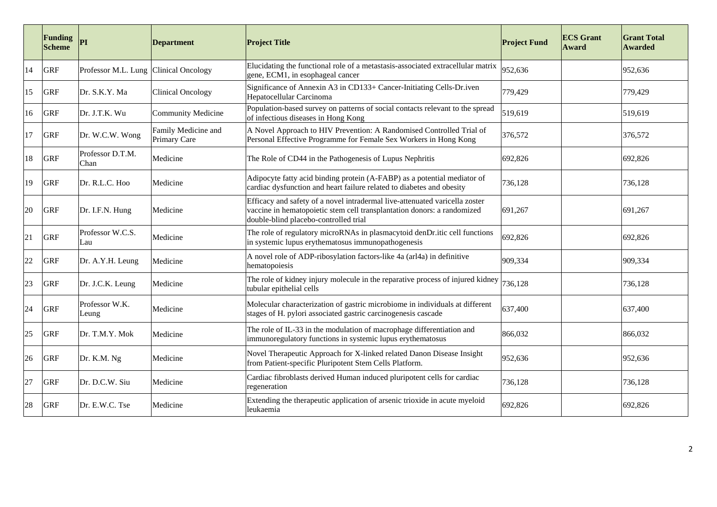|    | <b>Funding</b><br><b>Scheme</b> | PІ                       | <b>Department</b>                   | <b>Project Title</b>                                                                                                                                                                            | <b>Project Fund</b> | <b>ECS</b> Grant<br><b>Award</b> | <b>Grant Total</b><br><b>Awarded</b> |
|----|---------------------------------|--------------------------|-------------------------------------|-------------------------------------------------------------------------------------------------------------------------------------------------------------------------------------------------|---------------------|----------------------------------|--------------------------------------|
| 14 | <b>GRF</b>                      | Professor M.L. Lung      | Clinical Oncology                   | Elucidating the functional role of a metastasis-associated extracellular matrix<br>gene, ECM1, in esophageal cancer                                                                             | 952,636             |                                  | 952,636                              |
| 15 | <b>GRF</b>                      | Dr. S.K.Y. Ma            | Clinical Oncology                   | Significance of Annexin A3 in CD133+ Cancer-Initiating Cells-Dr.iven<br>Hepatocellular Carcinoma                                                                                                | 779,429             |                                  | 779,429                              |
| 16 | <b>GRF</b>                      | Dr. J.T.K. Wu            | <b>Community Medicine</b>           | Population-based survey on patterns of social contacts relevant to the spread<br>of infectious diseases in Hong Kong                                                                            | 519,619             |                                  | 519,619                              |
| 17 | <b>GRF</b>                      | Dr. W.C.W. Wong          | Family Medicine and<br>Primary Care | A Novel Approach to HIV Prevention: A Randomised Controlled Trial of<br>Personal Effective Programme for Female Sex Workers in Hong Kong                                                        | 376,572             |                                  | 376,572                              |
| 18 | <b>GRF</b>                      | Professor D.T.M.<br>Chan | Medicine                            | The Role of CD44 in the Pathogenesis of Lupus Nephritis                                                                                                                                         | 692,826             |                                  | 692,826                              |
| 19 | <b>GRF</b>                      | Dr. R.L.C. Hoo           | Medicine                            | Adipocyte fatty acid binding protein (A-FABP) as a potential mediator of<br>cardiac dysfunction and heart failure related to diabetes and obesity                                               | 736,128             |                                  | 736,128                              |
| 20 | <b>GRF</b>                      | Dr. I.F.N. Hung          | Medicine                            | Efficacy and safety of a novel intradermal live-attenuated varicella zoster<br>vaccine in hematopoietic stem cell transplantation donors: a randomized<br>double-blind placebo-controlled trial | 691,267             |                                  | 691,267                              |
| 21 | <b>GRF</b>                      | Professor W.C.S.<br>Lau  | Medicine                            | The role of regulatory microRNAs in plasmacytoid denDr.itic cell functions<br>in systemic lupus erythematosus immunopathogenesis                                                                | 692,826             |                                  | 692,826                              |
| 22 | <b>GRF</b>                      | Dr. A.Y.H. Leung         | Medicine                            | A novel role of ADP-ribosylation factors-like 4a (arl4a) in definitive<br>hematopoiesis                                                                                                         | 909,334             |                                  | 909,334                              |
| 23 | <b>GRF</b>                      | Dr. J.C.K. Leung         | Medicine                            | The role of kidney injury molecule in the reparative process of injured kidney<br>tubular epithelial cells                                                                                      | 736,128             |                                  | 736,128                              |
| 24 | <b>GRF</b>                      | Professor W.K.<br>Leung  | Medicine                            | Molecular characterization of gastric microbiome in individuals at different<br>stages of H. pylori associated gastric carcinogenesis cascade                                                   | 637,400             |                                  | 637,400                              |
| 25 | <b>GRF</b>                      | Dr. T.M.Y. Mok           | Medicine                            | The role of IL-33 in the modulation of macrophage differentiation and<br>immunoregulatory functions in systemic lupus erythematosus                                                             | 866,032             |                                  | 866,032                              |
| 26 | <b>GRF</b>                      | Dr. K.M. Ng              | Medicine                            | Novel Therapeutic Approach for X-linked related Danon Disease Insight<br>from Patient-specific Pluripotent Stem Cells Platform.                                                                 | 952,636             |                                  | 952,636                              |
| 27 | <b>GRF</b>                      | Dr. D.C.W. Siu           | Medicine                            | Cardiac fibroblasts derived Human induced pluripotent cells for cardiac<br>regeneration                                                                                                         | 736,128             |                                  | 736,128                              |
| 28 | <b>GRF</b>                      | Dr. E.W.C. Tse           | Medicine                            | Extending the therapeutic application of arsenic trioxide in acute myeloid<br>leukaemia                                                                                                         | 692,826             |                                  | 692,826                              |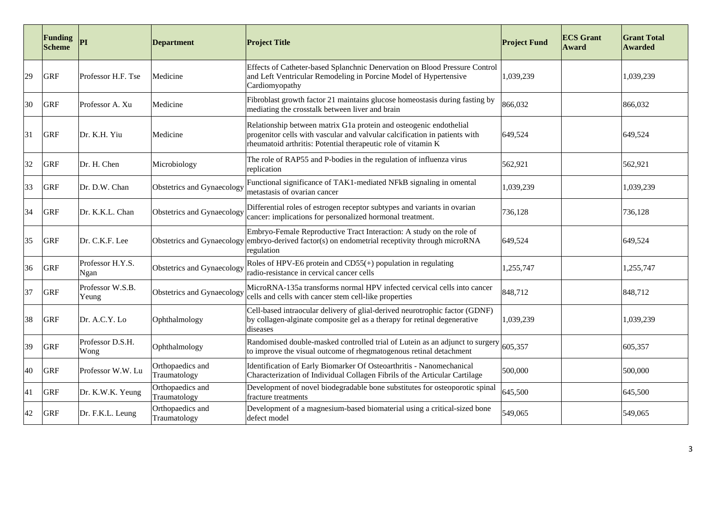|    | <b>Funding</b><br><b>Scheme</b> | <b>PI</b>                 | Department                       | <b>Project Title</b>                                                                                                                                                                                              | <b>Project Fund</b> | <b>ECS Grant</b><br>Award | <b>Grant Total</b><br><b>Awarded</b> |
|----|---------------------------------|---------------------------|----------------------------------|-------------------------------------------------------------------------------------------------------------------------------------------------------------------------------------------------------------------|---------------------|---------------------------|--------------------------------------|
| 29 | <b>GRF</b>                      | Professor H.F. Tse        | Medicine                         | Effects of Catheter-based Splanchnic Denervation on Blood Pressure Control<br>and Left Ventricular Remodeling in Porcine Model of Hypertensive<br>Cardiomyopathy                                                  | 1,039,239           |                           | 1,039,239                            |
| 30 | <b>GRF</b>                      | Professor A. Xu           | Medicine                         | Fibroblast growth factor 21 maintains glucose homeostasis during fasting by<br>mediating the crosstalk between liver and brain                                                                                    | 866,032             |                           | 866,032                              |
| 31 | <b>GRF</b>                      | Dr. K.H. Yiu              | Medicine                         | Relationship between matrix G1a protein and osteogenic endothelial<br>progenitor cells with vascular and valvular calcification in patients with<br>rheumatoid arthritis: Potential therapeutic role of vitamin K | 649,524             |                           | 649,524                              |
| 32 | <b>GRF</b>                      | Dr. H. Chen               | Microbiology                     | The role of RAP55 and P-bodies in the regulation of influenza virus<br>replication                                                                                                                                | 562,921             |                           | 562,921                              |
| 33 | <b>GRF</b>                      | Dr. D.W. Chan             | Obstetrics and Gynaecology       | Functional significance of TAK1-mediated NFkB signaling in omental<br>metastasis of ovarian cancer                                                                                                                | 1,039,239           |                           | 1,039,239                            |
| 34 | <b>GRF</b>                      | Dr. K.K.L. Chan           | Obstetrics and Gynaecology       | Differential roles of estrogen receptor subtypes and variants in ovarian<br>cancer: implications for personalized hormonal treatment.                                                                             | 736,128             |                           | 736,128                              |
| 35 | <b>GRF</b>                      | Dr. C.K.F. Lee            |                                  | Embryo-Female Reproductive Tract Interaction: A study on the role of<br>Obstetrics and Gynaecology embryo-derived factor(s) on endometrial receptivity through microRNA<br>regulation                             | 649,524             |                           | 649,524                              |
| 36 | <b>GRF</b>                      | Professor H.Y.S.<br>Ngan  | Obstetrics and Gynaecology       | Roles of HPV-E6 protein and $CD55(+)$ population in regulating<br>radio-resistance in cervical cancer cells                                                                                                       | 1,255,747           |                           | 1,255,747                            |
| 37 | <b>GRF</b>                      | Professor W.S.B.<br>Yeung | Obstetrics and Gynaecology       | MicroRNA-135a transforms normal HPV infected cervical cells into cancer<br>cells and cells with cancer stem cell-like properties                                                                                  | 848,712             |                           | 848,712                              |
| 38 | <b>GRF</b>                      | Dr. A.C.Y. Lo             | Ophthalmology                    | Cell-based intraocular delivery of glial-derived neurotrophic factor (GDNF)<br>by collagen-alginate composite gel as a therapy for retinal degenerative<br>diseases                                               | 1,039,239           |                           | 1,039,239                            |
| 39 | <b>GRF</b>                      | Professor D.S.H.<br>Wong  | Ophthalmology                    | Randomised double-masked controlled trial of Lutein as an adjunct to surgery<br>to improve the visual outcome of rhegmatogenous retinal detachment                                                                | 605,357             |                           | 605,357                              |
| 40 | <b>GRF</b>                      | Professor W.W. Lu         | Orthopaedics and<br>Traumatology | Identification of Early Biomarker Of Osteoarthritis - Nanomechanical<br>Characterization of Individual Collagen Fibrils of the Articular Cartilage                                                                | 500,000             |                           | 500,000                              |
| 41 | <b>GRF</b>                      | Dr. K.W.K. Yeung          | Orthopaedics and<br>Traumatology | Development of novel biodegradable bone substitutes for osteoporotic spinal<br>fracture treatments                                                                                                                | 645,500             |                           | 645,500                              |
| 42 | <b>GRF</b>                      | Dr. F.K.L. Leung          | Orthopaedics and<br>Traumatology | Development of a magnesium-based biomaterial using a critical-sized bone<br>defect model                                                                                                                          | 549,065             |                           | 549,065                              |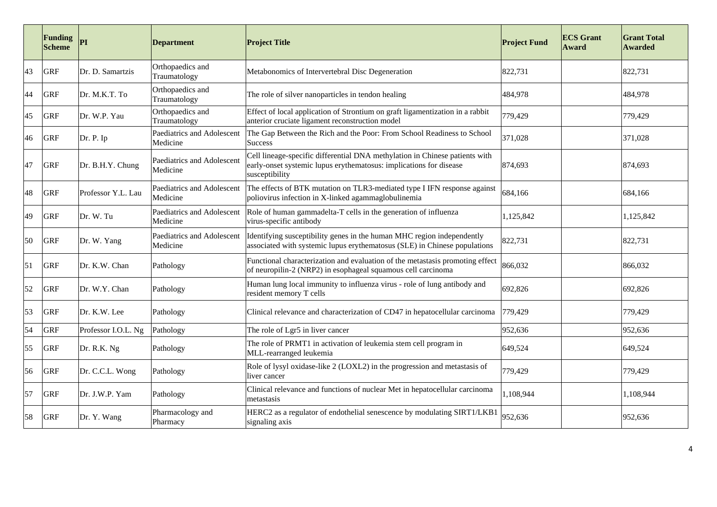|    | <b>Funding</b><br><b>Scheme</b> | <b>PI</b>           | <b>Department</b>                      | <b>Project Title</b>                                                                                                                                                | <b>Project Fund</b> | <b>ECS Grant</b><br>Award | <b>Grant Total</b><br><b>Awarded</b> |
|----|---------------------------------|---------------------|----------------------------------------|---------------------------------------------------------------------------------------------------------------------------------------------------------------------|---------------------|---------------------------|--------------------------------------|
| 43 | <b>GRF</b>                      | Dr. D. Samartzis    | Orthopaedics and<br>Traumatology       | Metabonomics of Intervertebral Disc Degeneration                                                                                                                    | 822,731             |                           | 822,731                              |
| 44 | <b>GRF</b>                      | Dr. M.K.T. To       | Orthopaedics and<br>Traumatology       | The role of silver nanoparticles in tendon healing                                                                                                                  | 484,978             |                           | 484,978                              |
| 45 | <b>GRF</b>                      | Dr. W.P. Yau        | Orthopaedics and<br>Traumatology       | Effect of local application of Strontium on graft ligamentization in a rabbit<br>anterior cruciate ligament reconstruction model                                    | 779,429             |                           | 779,429                              |
| 46 | <b>GRF</b>                      | Dr. P. Ip           | Paediatrics and Adolescent<br>Medicine | The Gap Between the Rich and the Poor: From School Readiness to School<br><b>Success</b>                                                                            | 371,028             |                           | 371,028                              |
| 47 | <b>GRF</b>                      | Dr. B.H.Y. Chung    | Paediatrics and Adolescent<br>Medicine | Cell lineage-specific differential DNA methylation in Chinese patients with<br>early-onset systemic lupus erythematosus: implications for disease<br>susceptibility | 874,693             |                           | 874,693                              |
| 48 | <b>GRF</b>                      | Professor Y.L. Lau  | Paediatrics and Adolescent<br>Medicine | The effects of BTK mutation on TLR3-mediated type I IFN response against<br>poliovirus infection in X-linked agammaglobulinemia                                     | 684,166             |                           | 684,166                              |
| 49 | <b>GRF</b>                      | Dr. W. Tu           | Paediatrics and Adolescent<br>Medicine | Role of human gammadelta-T cells in the generation of influenza<br>virus-specific antibody                                                                          | 1,125,842           |                           | 1,125,842                            |
| 50 | <b>GRF</b>                      | Dr. W. Yang         | Paediatrics and Adolescent<br>Medicine | Identifying susceptibility genes in the human MHC region independently<br>associated with systemic lupus erythematosus (SLE) in Chinese populations                 | 822,731             |                           | 822,731                              |
| 51 | <b>GRF</b>                      | Dr. K.W. Chan       | Pathology                              | Functional characterization and evaluation of the metastasis promoting effect<br>of neuropilin-2 (NRP2) in esophageal squamous cell carcinoma                       | 866,032             |                           | 866,032                              |
| 52 | <b>GRF</b>                      | Dr. W.Y. Chan       | Pathology                              | Human lung local immunity to influenza virus - role of lung antibody and<br>resident memory T cells                                                                 | 692,826             |                           | 692,826                              |
| 53 | <b>GRF</b>                      | Dr. K.W. Lee        | Pathology                              | Clinical relevance and characterization of CD47 in hepatocellular carcinoma                                                                                         | 779,429             |                           | 779,429                              |
| 54 | <b>GRF</b>                      | Professor I.O.L. Ng | Pathology                              | The role of Lgr5 in liver cancer                                                                                                                                    | 952,636             |                           | 952,636                              |
| 55 | <b>GRF</b>                      | Dr. R.K. Ng         | Pathology                              | The role of PRMT1 in activation of leukemia stem cell program in<br>MLL-rearranged leukemia                                                                         | 649,524             |                           | 649,524                              |
| 56 | <b>GRF</b>                      | Dr. C.C.L. Wong     | Pathology                              | Role of lysyl oxidase-like 2 (LOXL2) in the progression and metastasis of<br>liver cancer                                                                           | 779,429             |                           | 779,429                              |
| 57 | <b>GRF</b>                      | Dr. J.W.P. Yam      | Pathology                              | Clinical relevance and functions of nuclear Met in hepatocellular carcinoma<br>metastasis                                                                           | 1,108,944           |                           | 1,108,944                            |
| 58 | <b>GRF</b>                      | Dr. Y. Wang         | Pharmacology and<br>Pharmacy           | HERC2 as a regulator of endothelial senescence by modulating SIRT1/LKB1<br>signaling axis                                                                           | 952,636             |                           | 952,636                              |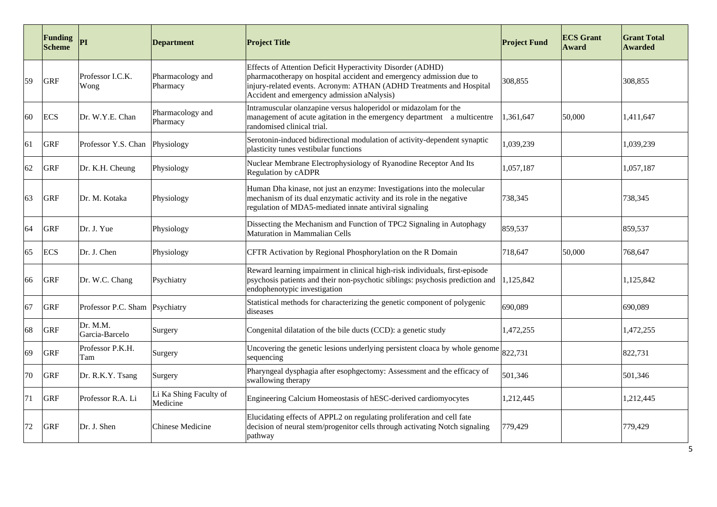|    | <b>Funding</b><br><b>Scheme</b> | PI                         | <b>Department</b>                  | <b>Project Title</b>                                                                                                                                                                                                                                   | <b>Project Fund</b> | <b>ECS Grant</b><br>Award | <b>Grant Total</b><br><b>Awarded</b> |
|----|---------------------------------|----------------------------|------------------------------------|--------------------------------------------------------------------------------------------------------------------------------------------------------------------------------------------------------------------------------------------------------|---------------------|---------------------------|--------------------------------------|
| 59 | <b>GRF</b>                      | Professor I.C.K.<br>Wong   | Pharmacology and<br>Pharmacy       | Effects of Attention Deficit Hyperactivity Disorder (ADHD)<br>pharmacotherapy on hospital accident and emergency admission due to<br>injury-related events. Acronym: ATHAN (ADHD Treatments and Hospital<br>Accident and emergency admission aNalysis) | 308,855             |                           | 308,855                              |
| 60 | <b>ECS</b>                      | Dr. W.Y.E. Chan            | Pharmacology and<br>Pharmacy       | Intramuscular olanzapine versus haloperidol or midazolam for the<br>management of acute agitation in the emergency department a multicentre<br>randomised clinical trial.                                                                              | 1,361,647           | 50,000                    | 1.411.647                            |
| 61 | <b>GRF</b>                      | Professor Y.S. Chan        | Physiology                         | Serotonin-induced bidirectional modulation of activity-dependent synaptic<br>plasticity tunes vestibular functions                                                                                                                                     | 1,039,239           |                           | 1,039,239                            |
| 62 | <b>GRF</b>                      | Dr. K.H. Cheung            | Physiology                         | Nuclear Membrane Electrophysiology of Ryanodine Receptor And Its<br>Regulation by cADPR                                                                                                                                                                | 1,057,187           |                           | 1,057,187                            |
| 63 | <b>GRF</b>                      | Dr. M. Kotaka              | Physiology                         | Human Dha kinase, not just an enzyme: Investigations into the molecular<br>mechanism of its dual enzymatic activity and its role in the negative<br>regulation of MDA5-mediated innate antiviral signaling                                             | 738,345             |                           | 738,345                              |
| 64 | <b>GRF</b>                      | Dr. J. Yue                 | Physiology                         | Dissecting the Mechanism and Function of TPC2 Signaling in Autophagy<br>Maturation in Mammalian Cells                                                                                                                                                  | 859,537             |                           | 859,537                              |
| 65 | <b>ECS</b>                      | Dr. J. Chen                | Physiology                         | CFTR Activation by Regional Phosphorylation on the R Domain                                                                                                                                                                                            | 718,647             | 50,000                    | 768,647                              |
| 66 | <b>GRF</b>                      | Dr. W.C. Chang             | Psychiatry                         | Reward learning impairment in clinical high-risk individuals, first-episode<br>psychosis patients and their non-psychotic siblings: psychosis prediction and<br>endophenotypic investigation                                                           | 1,125,842           |                           | 1,125,842                            |
| 67 | GRF                             | Professor P.C. Sham        | Psychiatry                         | Statistical methods for characterizing the genetic component of polygenic<br>diseases                                                                                                                                                                  | 690,089             |                           | 690,089                              |
| 68 | <b>GRF</b>                      | Dr. M.M.<br>Garcia-Barcelo | Surgery                            | Congenital dilatation of the bile ducts (CCD): a genetic study                                                                                                                                                                                         | 1,472,255           |                           | 1,472,255                            |
| 69 | <b>GRF</b>                      | Professor P.K.H.<br>Tam    | Surgery                            | Uncovering the genetic lesions underlying persistent cloaca by whole genome<br>sequencing                                                                                                                                                              | 822,731             |                           | 822,731                              |
| 70 | <b>GRF</b>                      | Dr. R.K.Y. Tsang           | Surgery                            | Pharyngeal dysphagia after esophgectomy: Assessment and the efficacy of<br>swallowing therapy                                                                                                                                                          | 501,346             |                           | 501,346                              |
| 71 | <b>GRF</b>                      | Professor R.A. Li          | Li Ka Shing Faculty of<br>Medicine | Engineering Calcium Homeostasis of hESC-derived cardiomyocytes                                                                                                                                                                                         | 1,212,445           |                           | 1,212,445                            |
| 72 | <b>GRF</b>                      | Dr. J. Shen                | Chinese Medicine                   | Elucidating effects of APPL2 on regulating proliferation and cell fate<br>decision of neural stem/progenitor cells through activating Notch signaling<br>pathway                                                                                       | 779,429             |                           | 779,429                              |

5